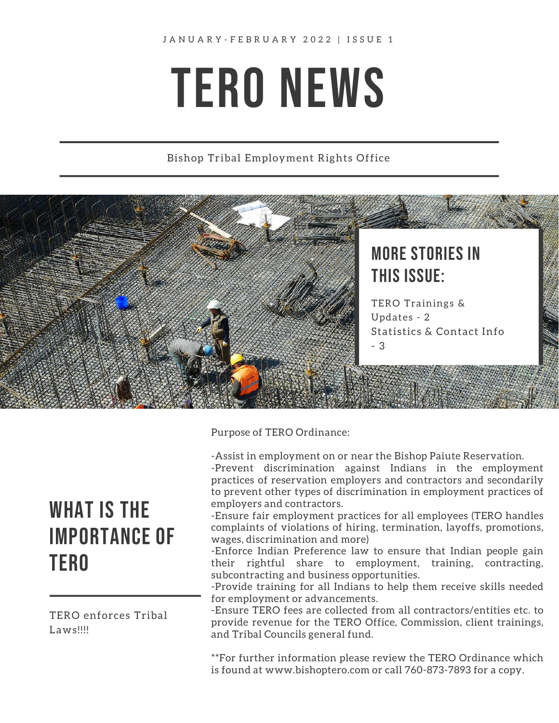# TERO NEWS

#### Bishop Tribal Employment Rights Office



Purpose of TERO Ordinance:

-Assist in employment on or near the Bishop Paiute Reservation. -Prevent discrimination against Indians in the employment practices of reservation employers and contractors and secondarily

to prevent other types of discrimination in employment practices of employers and contractors.

-Ensure fair employment practices for all employees (TERO handles complaints of violations of hiring, termination, layoffs, promotions, wages, discrimination and more)

-Enforce Indian Preference law to ensure that Indian people gain their rightful share to employment, training, contracting, subcontracting and business opportunities.

-Provide training for all Indians to help them receive skills needed for employment or advancements.

-Ensure TERO fees are collected from all contractors/entities etc. to provide revenue for the TERO Office, Commission, client trainings, and Tribal Councils general fund.

\*\*For further information please review the TERO Ordinance which is found at www.bishoptero.com or call 760-873-7893 for a copy.

# WHAT IS THE IMPORTANCE OF TERO

TERO enforces Tribal Laws!!!!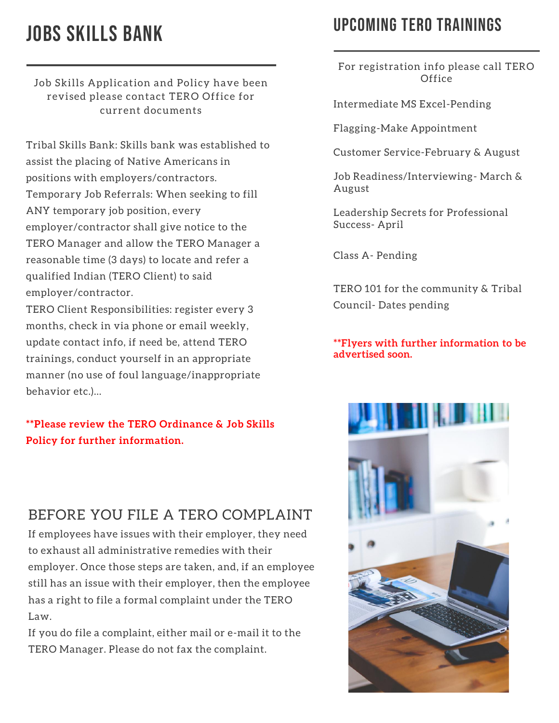# JOBS SKILLS BANK

Job Skills Application and Policy have been revised please contact TERO Office for current documents

Tribal Skills Bank: Skills bank was established to assist the placing of Native Americans in positions with employers/contractors. Temporary Job Referrals: When seeking to fill ANY temporary job position, every employer/contractor shall give notice to the TERO Manager and allow the TERO Manager a reasonable time (3 days) to locate and refer a qualified Indian (TERO Client) to said employer/contractor.

TERO Client Responsibilities: register every 3 months, check in via phone or email weekly, update contact info, if need be, attend TERO trainings, conduct yourself in an appropriate manner (no use of foul language/inappropriate behavior etc.)…

#### **\*\*Please review the TERO Ordinance & Job Skills Policy for further information.**

#### BEFORE YOU FILE A TERO COMPLAINT

If employees have issues with their employer, they need to exhaust all administrative remedies with their employer. Once those steps are taken, and, if an employee still has an issue with their employer, then the employee has a right to file a formal complaint under the TERO Law.

If you do file a complaint, either mail or e-mail it to the TERO Manager. Please do not fax the complaint.

## UPCOMING TERO TRAININGS

For registration info please call TERO **Office** 

Intermediate MS Excel-Pending

Flagging-Make Appointment

Customer Service-February & August

Job Readiness/Interviewing- March & August

Leadership Secrets for Professional Success- April

Class A- Pending

TERO 101 for the community & Tribal Council- Dates pending

\*\*Flyers with further information to be advertised soon.

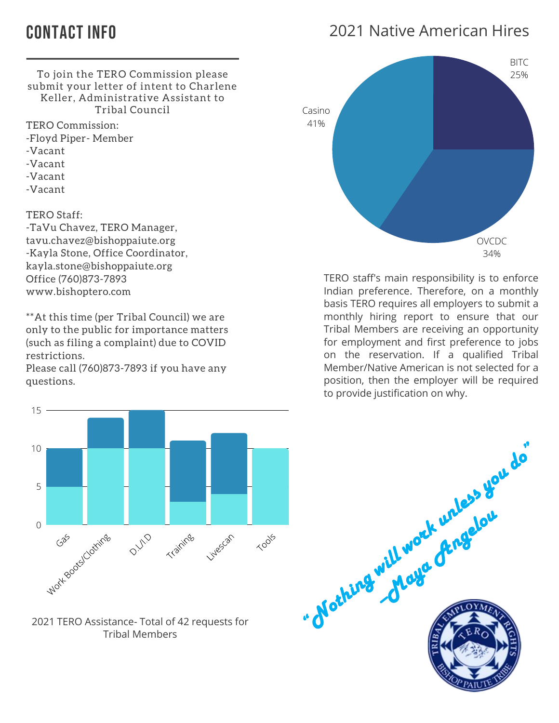## CONTACT INFO

### 2021 Native American Hires



TERO Commission:

-Floyd Piper- Member

- -Vacant
- -Vacant
- -Vacant
- -Vacant

TERO Staff:

-TaVu Chavez, TERO Manager, tavu.chavez@bishoppaiute.org -Kayla Stone, Office Coordinator, kayla.stone@bishoppaiute.org Office (760)873-7893 www.bishoptero.com

\*\*At this time (per Tribal Council) we are only to the public for importance matters (such as filing a complaint) due to COVID restrictions.

Please call (760)873-7893 if you have any questions.



2021 TERO Assistance- Total of 42 requests for Tribal Members



TERO staff's main responsibility is to enforce Indian preference. Therefore, on a monthly basis TERO requires all employers to submit a monthly hiring report to ensure that our Tribal Members are receiving an opportunity for employment and first preference to jobs on the reservation. If a qualified Tribal Member/Native American is not selected for a position, then the employer will be required to provide justification on why.